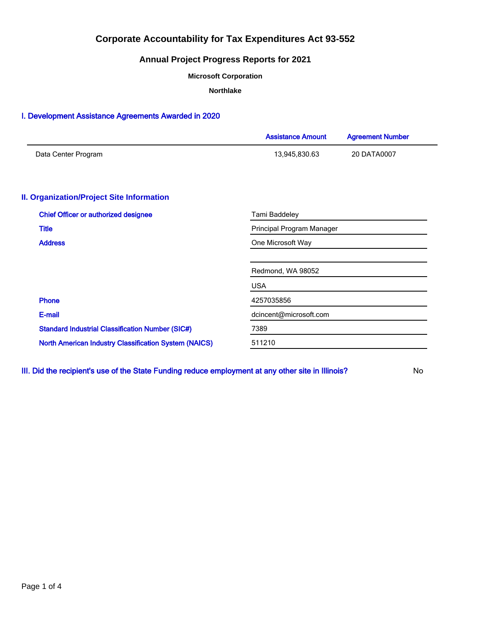### **Annual Project Progress Reports for 2021**

**Microsoft Corporation**

**Northlake**

### I. Development Assistance Agreements Awarded in 2020

|                                                              | <b>Assistance Amount</b>  | <b>Agreement Number</b> |  |  |
|--------------------------------------------------------------|---------------------------|-------------------------|--|--|
| Data Center Program                                          | 13,945,830.63             | 20 DATA0007             |  |  |
| <b>II. Organization/Project Site Information</b>             |                           |                         |  |  |
| <b>Chief Officer or authorized designee</b>                  | Tami Baddeley             |                         |  |  |
| <b>Title</b>                                                 | Principal Program Manager |                         |  |  |
| <b>Address</b>                                               | One Microsoft Way         |                         |  |  |
|                                                              | Redmond, WA 98052         |                         |  |  |
|                                                              | <b>USA</b>                |                         |  |  |
| Phone                                                        | 4257035856                |                         |  |  |
| E-mail                                                       | dcincent@microsoft.com    |                         |  |  |
| <b>Standard Industrial Classification Number (SIC#)</b>      | 7389                      |                         |  |  |
| <b>North American Industry Classification System (NAICS)</b> | 511210                    |                         |  |  |

III. Did the recipient's use of the State Funding reduce employment at any other site in Illinois? No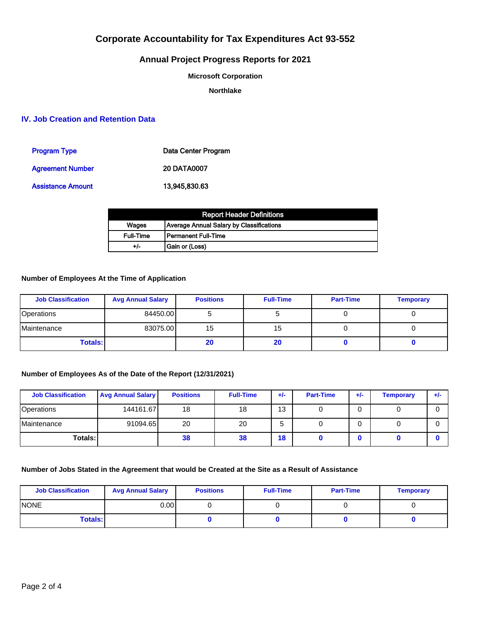## **Annual Project Progress Reports for 2021**

#### **Microsoft Corporation**

**Northlake**

### **IV. Job Creation and Retention Data**

| <b>Program Type</b>     | Data Center Program |
|-------------------------|---------------------|
| <b>Agreement Number</b> | <b>20 DATA0007</b>  |
| Assistance Amount       | 13.945.830.63       |

| <b>Report Header Definitions</b> |                                          |  |  |  |
|----------------------------------|------------------------------------------|--|--|--|
| Wages                            | Average Annual Salary by Classifications |  |  |  |
| <b>Full-Time</b>                 | l Permanent Full-Time                    |  |  |  |
| +/-                              | Gain or (Loss)                           |  |  |  |

### **Number of Employees At the Time of Application**

| <b>Job Classification</b> | <b>Avg Annual Salary</b> | <b>Positions</b> | <b>Full-Time</b> | <b>Part-Time</b> | <b>Temporary</b> |
|---------------------------|--------------------------|------------------|------------------|------------------|------------------|
| <b>Operations</b>         | 84450.00                 |                  |                  |                  |                  |
| Maintenance               | 83075.00                 | 15               | 15               |                  |                  |
| <b>Totals:</b>            |                          | 20               | 20               |                  |                  |

### **Number of Employees As of the Date of the Report (12/31/2021)**

| <b>Job Classification</b> | <b>Avg Annual Salary</b> | <b>Positions</b> | <b>Full-Time</b> | $+/-$ | <b>Part-Time</b> | $+/-$ | <b>Temporary</b> | $+/-$ |
|---------------------------|--------------------------|------------------|------------------|-------|------------------|-------|------------------|-------|
| Operations                | 144161.67                | 18               | 18               | 13    |                  |       |                  |       |
| Maintenance               | 91094.65                 | 20               | 20               | G     |                  |       |                  |       |
| Totals: I                 |                          | 38               | 38               | 18    |                  |       |                  |       |

### **Number of Jobs Stated in the Agreement that would be Created at the Site as a Result of Assistance**

| <b>Job Classification</b> | <b>Avg Annual Salary</b> | <b>Positions</b> | <b>Full-Time</b> | <b>Part-Time</b> | <b>Temporary</b> |
|---------------------------|--------------------------|------------------|------------------|------------------|------------------|
| <b>INONE</b>              | 0.00 l                   |                  |                  |                  |                  |
| <b>Totals:</b>            |                          |                  |                  |                  |                  |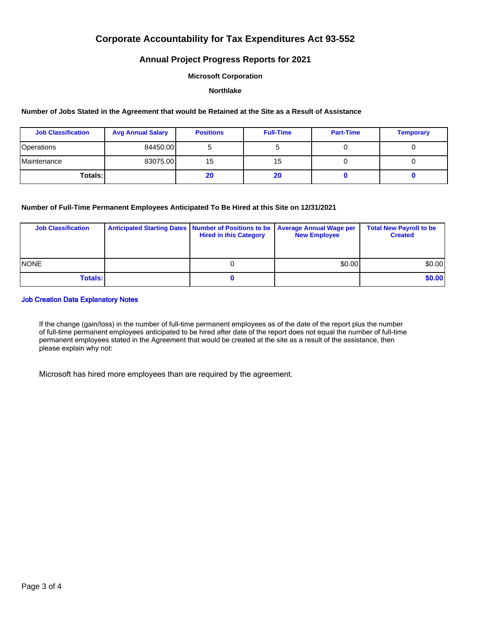### **Annual Project Progress Reports for 2021**

#### **Microsoft Corporation**

#### **Northlake**

#### **Number of Jobs Stated in the Agreement that would be Retained at the Site as a Result of Assistance**

| <b>Job Classification</b>  | <b>Avg Annual Salary</b> | <b>Positions</b> | <b>Full-Time</b> | <b>Part-Time</b> | <b>Temporary</b> |
|----------------------------|--------------------------|------------------|------------------|------------------|------------------|
| <b>Operations</b>          | 84450.00                 |                  |                  |                  |                  |
| <i><b>IMaintenance</b></i> | 83075.00                 | 15               | 15               |                  |                  |
| Totals: I                  |                          | 20               | 20               |                  |                  |

#### **Number of Full-Time Permanent Employees Anticipated To Be Hired at this Site on 12/31/2021**

| <b>Job Classification</b> | Anticipated Starting Dates   Number of Positions to be   Average Annual Wage per<br><b>Hired in this Category</b> | <b>New Employee</b> | <b>Total New Payroll to be</b><br><b>Created</b> |
|---------------------------|-------------------------------------------------------------------------------------------------------------------|---------------------|--------------------------------------------------|
| <b>INONE</b>              |                                                                                                                   | \$0.00              | \$0.00                                           |
| <b>Totals:</b>            |                                                                                                                   |                     | \$0.00                                           |

#### Job Creation Data Explanatory Notes

If the change (gain/loss) in the number of full-time permanent employees as of the date of the report plus the number of full-time permanent employees anticipated to be hired after date of the report does not equal the number of full-time permanent employees stated in the Agreement that would be created at the site as a result of the assistance, then please explain why not:

Microsoft has hired more employees than are required by the agreement.